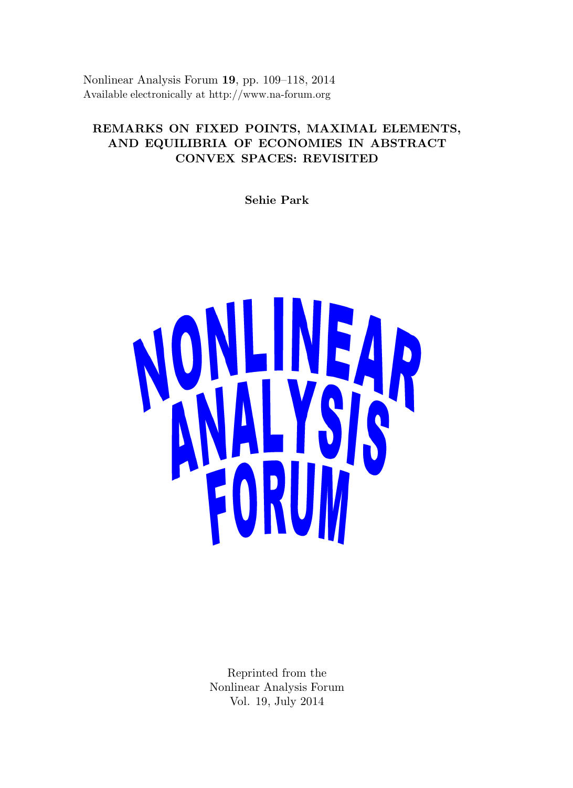Nonlinear Analysis Forum 19, pp. 109–118, 2014 Available electronically at http://www.na-forum.org

# REMARKS ON FIXED POINTS, MAXIMAL ELEMENTS, AND EQUILIBRIA OF ECONOMIES IN ABSTRACT CONVEX SPACES: REVISITED

Sehie Park



Reprinted from the Nonlinear Analysis Forum Vol. 19, July 2014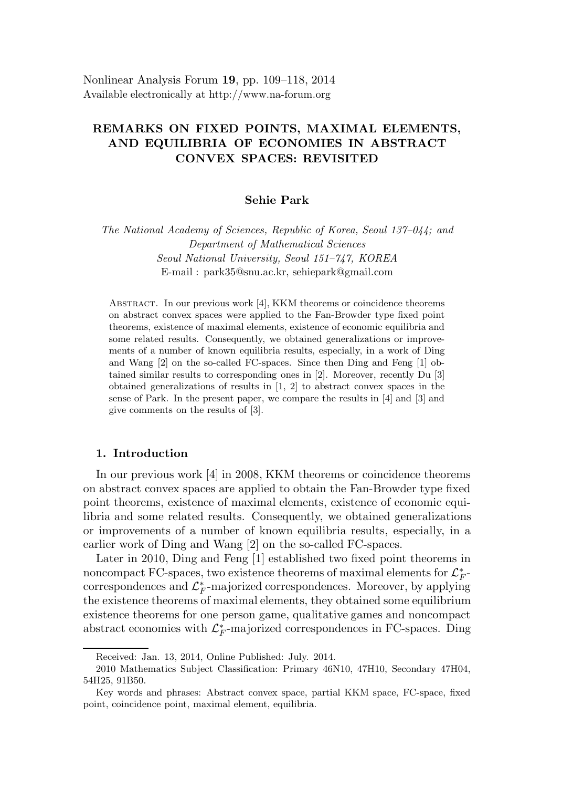## REMARKS ON FIXED POINTS, MAXIMAL ELEMENTS, AND EQUILIBRIA OF ECONOMIES IN ABSTRACT CONVEX SPACES: REVISITED

### Sehie Park

The National Academy of Sciences, Republic of Korea, Seoul 137–044; and Department of Mathematical Sciences Seoul National University, Seoul 151–747, KOREA E-mail : park35@snu.ac.kr, sehiepark@gmail.com

Abstract. In our previous work [4], KKM theorems or coincidence theorems on abstract convex spaces were applied to the Fan-Browder type fixed point theorems, existence of maximal elements, existence of economic equilibria and some related results. Consequently, we obtained generalizations or improvements of a number of known equilibria results, especially, in a work of Ding and Wang [2] on the so-called FC-spaces. Since then Ding and Feng [1] obtained similar results to corresponding ones in [2]. Moreover, recently Du [3] obtained generalizations of results in [1, 2] to abstract convex spaces in the sense of Park. In the present paper, we compare the results in [4] and [3] and give comments on the results of [3].

#### 1. Introduction

In our previous work [4] in 2008, KKM theorems or coincidence theorems on abstract convex spaces are applied to obtain the Fan-Browder type fixed point theorems, existence of maximal elements, existence of economic equilibria and some related results. Consequently, we obtained generalizations or improvements of a number of known equilibria results, especially, in a earlier work of Ding and Wang [2] on the so-called FC-spaces.

Later in 2010, Ding and Feng [1] established two fixed point theorems in noncompact FC-spaces, two existence theorems of maximal elements for  $\mathcal{L}_F^*$  $_F^*$ correspondences and  $\mathcal{L}_F^*$  $_F^*$ -majorized correspondences. Moreover, by applying the existence theorems of maximal elements, they obtained some equilibrium existence theorems for one person game, qualitative games and noncompact abstract economies with  $\mathcal{L}_F^*$ F -majorized correspondences in FC-spaces. Ding

Received: Jan. 13, 2014, Online Published: July. 2014.

<sup>2010</sup> Mathematics Subject Classification: Primary 46N10, 47H10, Secondary 47H04, 54H25, 91B50.

Key words and phrases: Abstract convex space, partial KKM space, FC-space, fixed point, coincidence point, maximal element, equilibria.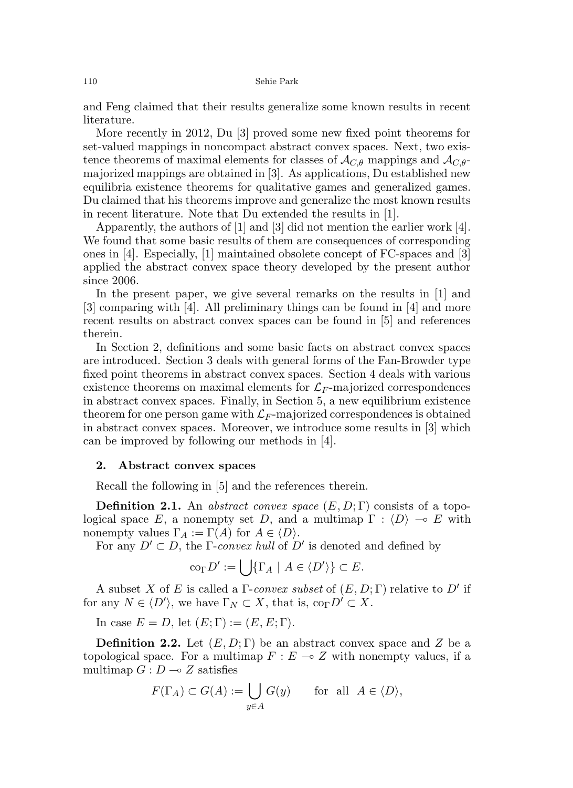and Feng claimed that their results generalize some known results in recent literature.

More recently in 2012, Du [3] proved some new fixed point theorems for set-valued mappings in noncompact abstract convex spaces. Next, two existence theorems of maximal elements for classes of  $\mathcal{A}_{C,\theta}$  mappings and  $\mathcal{A}_{C,\theta}$ majorized mappings are obtained in [3]. As applications, Du established new equilibria existence theorems for qualitative games and generalized games. Du claimed that his theorems improve and generalize the most known results in recent literature. Note that Du extended the results in [1].

Apparently, the authors of [1] and [3] did not mention the earlier work [4]. We found that some basic results of them are consequences of corresponding ones in [4]. Especially, [1] maintained obsolete concept of FC-spaces and [3] applied the abstract convex space theory developed by the present author since 2006.

In the present paper, we give several remarks on the results in [1] and [3] comparing with [4]. All preliminary things can be found in [4] and more recent results on abstract convex spaces can be found in [5] and references therein.

In Section 2, definitions and some basic facts on abstract convex spaces are introduced. Section 3 deals with general forms of the Fan-Browder type fixed point theorems in abstract convex spaces. Section 4 deals with various existence theorems on maximal elements for  $\mathcal{L}_F$ -majorized correspondences in abstract convex spaces. Finally, in Section 5, a new equilibrium existence theorem for one person game with  $\mathcal{L}_F$ -majorized correspondences is obtained in abstract convex spaces. Moreover, we introduce some results in [3] which can be improved by following our methods in [4].

#### 2. Abstract convex spaces

Recall the following in [5] and the references therein.

**Definition 2.1.** An abstract convex space  $(E, D; \Gamma)$  consists of a topological space E, a nonempty set D, and a multimap  $\Gamma : \langle D \rangle \to E$  with nonempty values  $\Gamma_A := \Gamma(A)$  for  $A \in \langle D \rangle$ .

For any  $D' \subset D$ , the  $\Gamma$ -convex hull of  $D'$  is denoted and defined by

$$
\mathrm{co}_{\Gamma}D':=\bigcup\{\Gamma_A\mid A\in\langle D'\rangle\}\subset E.
$$

A subset X of E is called a  $\Gamma$ -convex subset of  $(E, D; \Gamma)$  relative to D' if for any  $N \in \langle D' \rangle$ , we have  $\Gamma_N \subset X$ , that is,  $\text{co}_{\Gamma} D' \subset X$ .

In case  $E = D$ , let  $(E; \Gamma) := (E, E; \Gamma)$ .

**Definition 2.2.** Let  $(E, D; \Gamma)$  be an abstract convex space and Z be a topological space. For a multimap  $F : E \to Z$  with nonempty values, if a multimap  $G: D \longrightarrow Z$  satisfies

$$
F(\Gamma_A) \subset G(A) := \bigcup_{y \in A} G(y) \quad \text{for all } A \in \langle D \rangle,
$$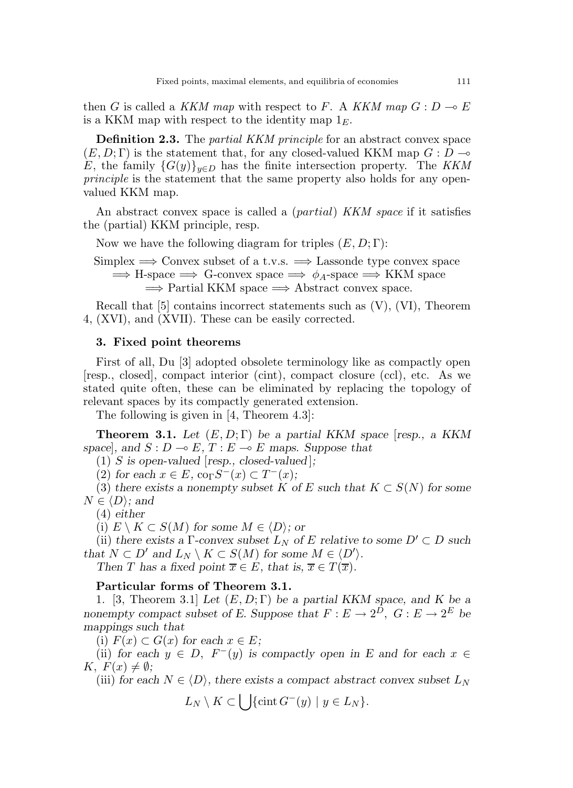then G is called a KKM map with respect to F. A KKM map  $G: D \to E$ is a KKM map with respect to the identity map  $1<sub>E</sub>$ .

**Definition 2.3.** The *partial KKM principle* for an abstract convex space  $(E, D; \Gamma)$  is the statement that, for any closed-valued KKM map  $G: D \rightarrow$ E, the family  $\{G(y)\}_{y\in D}$  has the finite intersection property. The KKM principle is the statement that the same property also holds for any openvalued KKM map.

An abstract convex space is called a *(partial) KKM space* if it satisfies the (partial) KKM principle, resp.

Now we have the following diagram for triples  $(E, D; \Gamma)$ :

Simplex  $\implies$  Convex subset of a t.v.s.  $\implies$  Lassonde type convex space  $\implies$  H-space  $\implies$  G-convex space  $\implies \phi_A$ -space  $\implies$  KKM space  $\Rightarrow$  Partial KKM space  $\Rightarrow$  Abstract convex space.

Recall that  $[5]$  contains incorrect statements such as  $(V)$ ,  $(VI)$ , Theorem 4, (XVI), and (XVII). These can be easily corrected.

#### 3. Fixed point theorems

First of all, Du [3] adopted obsolete terminology like as compactly open [resp., closed], compact interior (cint), compact closure (ccl), etc. As we stated quite often, these can be eliminated by replacing the topology of relevant spaces by its compactly generated extension.

The following is given in [4, Theorem 4.3]:

**Theorem 3.1.** Let  $(E, D; \Gamma)$  be a partial KKM space [resp., a KKM space, and  $S : D \multimap E$ ,  $T : E \multimap E$  maps. Suppose that

(1) S is open-valued [resp., closed-valued];

(2) for each  $x \in E$ ,  $\operatorname{co}_{\Gamma} S^{-}(x) \subset T^{-}(x)$ ;

(3) there exists a nonempty subset K of E such that  $K \subset S(N)$  for some  $N \in \langle D \rangle$ ; and

(4) either

(i)  $E \setminus K \subset S(M)$  for some  $M \in \langle D \rangle$ ; or

(ii) there exists a Γ-convex subset  $L_N$  of E relative to some  $D' \subset D$  such that  $N \subset D'$  and  $L_N \setminus K \subset S(M)$  for some  $M \in \langle D' \rangle$ .

Then T has a fixed point  $\overline{x} \in E$ , that is,  $\overline{x} \in T(\overline{x})$ .

#### Particular forms of Theorem 3.1.

1. [3, Theorem 3.1] Let  $(E, D; \Gamma)$  be a partial KKM space, and K be a nonempty compact subset of E. Suppose that  $F: E \to 2^D$ ,  $G: E \to 2^E$  be mappings such that

(i)  $F(x) \subset G(x)$  for each  $x \in E$ ;

(ii) for each  $y \in D$ ,  $F^-(y)$  is compactly open in E and for each  $x \in$  $K, F(x) \neq \emptyset;$ 

(iii) for each  $N \in \langle D \rangle$ , there exists a compact abstract convex subset  $L_N$ 

 $L_N \setminus K \subset \bigcup \{\operatorname{cint} G^-(y) \mid y \in L_N\}.$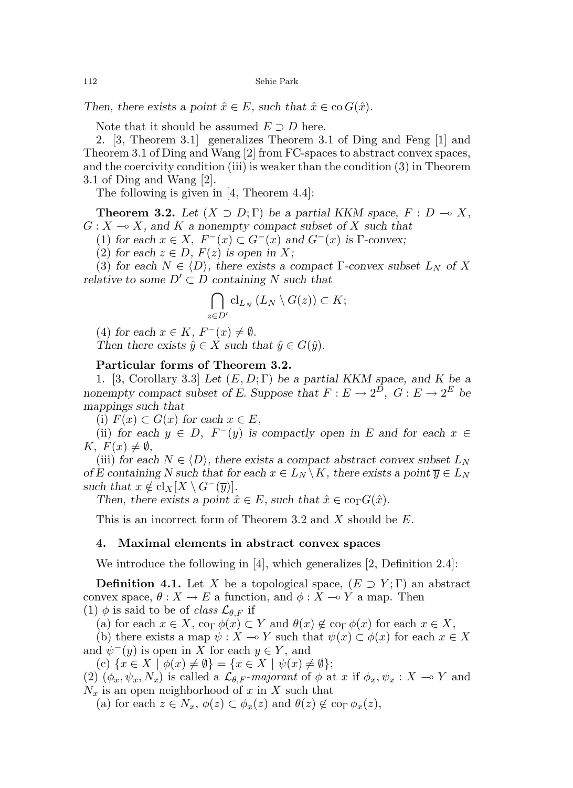Then, there exists a point  $\hat{x} \in E$ , such that  $\hat{x} \in \text{co } G(\hat{x})$ .

Note that it should be assumed  $E \supset D$  here.

2. [3, Theorem 3.1] generalizes Theorem 3.1 of Ding and Feng [1] and Theorem 3.1 of Ding and Wang [2] from FC-spaces to abstract convex spaces, and the coercivity condition (iii) is weaker than the condition (3) in Theorem 3.1 of Ding and Wang [2].

The following is given in [4, Theorem 4.4]:

**Theorem 3.2.** Let  $(X \supset D; \Gamma)$  be a partial KKM space,  $F : D \multimap X$ ,  $G: X \longrightarrow X$ , and K a nonempty compact subset of X such that

(1) for each  $x \in X$ ,  $F^{-}(x) \subset G^{-}(x)$  and  $G^{-}(x)$  is  $\Gamma$ -convex;

(2) for each  $z \in D$ ,  $F(z)$  is open in X;

(3) for each  $N \in \langle D \rangle$ , there exists a compact Γ-convex subset  $L_N$  of X relative to some  $D' \subset D$  containing N such that

$$
\bigcap_{z\in D'}\mathrm{cl}_{L_N}\left(L_N\setminus G(z)\right)\subset K;
$$

(4) for each  $x \in K$ ,  $F^{-}(x) \neq \emptyset$ .

Then there exists  $\hat{y} \in X$  such that  $\hat{y} \in G(\hat{y})$ .

#### Particular forms of Theorem 3.2.

1. [3, Corollary 3.3] Let  $(E, D; \Gamma)$  be a partial KKM space, and K be a nonempty compact subset of E. Suppose that  $F: E \to 2^D$ ,  $G: E \to 2^E$  be mappings such that

(i)  $F(x) \subset G(x)$  for each  $x \in E$ ,

(ii) for each  $y \in D$ ,  $F^-(y)$  is compactly open in E and for each  $x \in$ K,  $F(x) \neq \emptyset$ ,

(iii) for each  $N \in \langle D \rangle$ , there exists a compact abstract convex subset  $L_N$ of E containing N such that for each  $x \in L_N \backslash K$ , there exists a point  $\overline{y} \in L_N$ such that  $x \notin \text{cl}_X[X \setminus G^-(\overline{y})].$ 

Then, there exists a point  $\hat{x} \in E$ , such that  $\hat{x} \in \text{co}_{\Gamma}G(\hat{x})$ .

This is an incorrect form of Theorem 3.2 and X should be E.

#### 4. Maximal elements in abstract convex spaces

We introduce the following in [4], which generalizes [2, Definition 2.4]:

**Definition 4.1.** Let X be a topological space,  $(E \supset Y; \Gamma)$  an abstract convex space,  $\theta : X \to E$  a function, and  $\phi : X \to Y$  a map. Then (1)  $\phi$  is said to be of *class*  $\mathcal{L}_{\theta,F}$  if

(a) for each  $x \in X$ ,  $\operatorname{co}_{\Gamma} \phi(x) \subset Y$  and  $\theta(x) \notin \operatorname{co}_{\Gamma} \phi(x)$  for each  $x \in X$ ,

(b) there exists a map  $\psi : X \to Y$  such that  $\psi(x) \subset \phi(x)$  for each  $x \in X$ and  $\psi^-(y)$  is open in X for each  $y \in Y$ , and

(c)  $\{x \in X \mid \phi(x) \neq \emptyset\} = \{x \in X \mid \psi(x) \neq \emptyset\};$ 

(2)  $(\phi_x, \psi_x, N_x)$  is called a  $\mathcal{L}_{\theta,F}$ -majorant of  $\phi$  at x if  $\phi_x, \psi_x : X \to Y$  and  $N_x$  is an open neighborhood of x in X such that

(a) for each  $z \in N_x$ ,  $\phi(z) \subset \phi_x(z)$  and  $\theta(z) \notin \phi_x(z)$ ,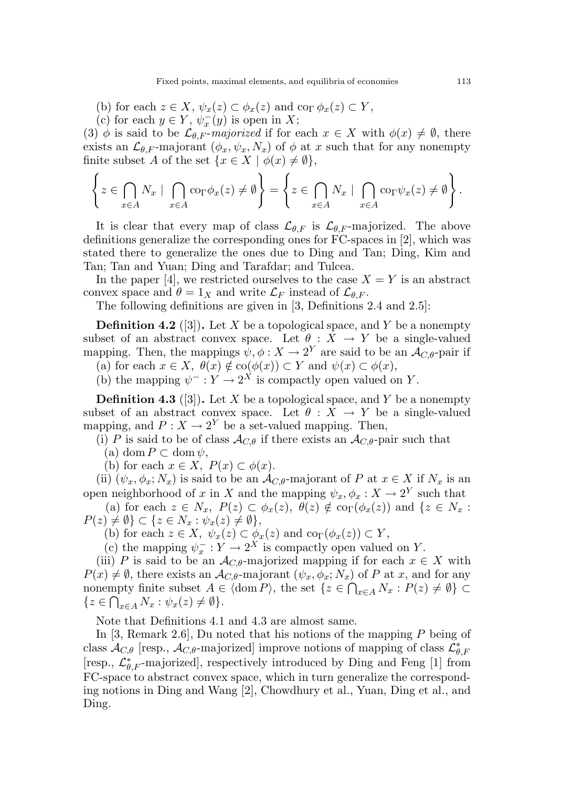- (b) for each  $z \in X$ ,  $\psi_x(z) \subset \phi_x(z)$  and  $\operatorname{co}_{\Gamma} \phi_x(z) \subset Y$ ,
- (c) for each  $y \in Y$ ,  $\psi_x^-(y)$  is open in X;

(3)  $\phi$  is said to be  $\mathcal{L}_{\theta,F}$ -majorized if for each  $x \in X$  with  $\phi(x) \neq \emptyset$ , there exists an  $\mathcal{L}_{\theta,F}$ -majorant  $(\phi_x, \psi_x, N_x)$  of  $\phi$  at x such that for any nonempty finite subset A of the set  $\{x \in X \mid \phi(x) \neq \emptyset\},\$ 

$$
\left\{ z \in \bigcap_{x \in A} N_x \mid \bigcap_{x \in A} \text{co}_{\Gamma} \phi_x(z) \neq \emptyset \right\} = \left\{ z \in \bigcap_{x \in A} N_x \mid \bigcap_{x \in A} \text{co}_{\Gamma} \psi_x(z) \neq \emptyset \right\}.
$$

It is clear that every map of class  $\mathcal{L}_{\theta,F}$  is  $\mathcal{L}_{\theta,F}$ -majorized. The above definitions generalize the corresponding ones for FC-spaces in [2], which was stated there to generalize the ones due to Ding and Tan; Ding, Kim and Tan; Tan and Yuan; Ding and Tarafdar; and Tulcea.

In the paper [4], we restricted ourselves to the case  $X = Y$  is an abstract convex space and  $\theta = 1_X$  and write  $\mathcal{L}_F$  instead of  $\mathcal{L}_{\theta,F}$ .

The following definitions are given in [3, Definitions 2.4 and 2.5]:

**Definition 4.2** ([3]). Let X be a topological space, and Y be a nonempty subset of an abstract convex space. Let  $\theta : \overline{X} \to Y$  be a single-valued mapping. Then, the mappings  $\psi, \phi: X \to 2^Y$  are said to be an  $\mathcal{A}_{C,\theta}$ -pair if

(a) for each  $x \in X$ ,  $\theta(x) \notin \text{co}(\phi(x)) \subset Y$  and  $\psi(x) \subset \phi(x)$ ,

(b) the mapping  $\psi^- : Y \to 2^X$  is compactly open valued on Y.

**Definition 4.3** ([3]). Let X be a topological space, and Y be a nonempty subset of an abstract convex space. Let  $\theta : X \to Y$  be a single-valued mapping, and  $P: X \to 2^Y$  be a set-valued mapping. Then,

(i) P is said to be of class  $\mathcal{A}_{C,\theta}$  if there exists an  $\mathcal{A}_{C,\theta}$ -pair such that

(a) dom  $P \subset \text{dom } \psi$ ,

(b) for each  $x \in X$ ,  $P(x) \subset \phi(x)$ .

(ii)  $(\psi_x, \phi_x; N_x)$  is said to be an  $\mathcal{A}_{C,\theta}$ -majorant of P at  $x \in X$  if  $N_x$  is an open neighborhood of x in X and the mapping  $\psi_x, \phi_x : X \to 2^Y$  such that

(a) for each  $z \in N_x$ ,  $P(z) \subset \phi_x(z)$ ,  $\theta(z) \notin \text{co}_{\Gamma}(\phi_x(z))$  and  $\{z \in N_x :$  $P(z) \neq \emptyset$   $\subset \{z \in N_x : \psi_x(z) \neq \emptyset\},\$ 

(b) for each  $z \in X$ ,  $\psi_x(z) \subset \phi_x(z)$  and  $\text{co}_{\Gamma}(\phi_x(z)) \subset Y$ ,

(c) the mapping  $\psi_x^- : Y \to 2^X$  is compactly open valued on Y.

(iii) P is said to be an  $\mathcal{A}_{C,\theta}$ -majorized mapping if for each  $x \in X$  with  $P(x) \neq \emptyset$ , there exists an  $\mathcal{A}_{C,\theta}$ -majorant  $(\psi_x, \phi_x; N_x)$  of P at x, and for any nonempty finite subset  $A \in \langle \text{dom } P \rangle$ , the set  $\{z \in \bigcap_{x \in A} N_x : P(z) \neq \emptyset\} \subset$  $\{z \in \bigcap_{x \in A} N_x : \psi_x(z) \neq \emptyset\}.$ 

Note that Definitions 4.1 and 4.3 are almost same.

In [3, Remark 2.6], Du noted that his notions of the mapping  $P$  being of class  $\mathcal{A}_{C,\theta}$  [resp.,  $\mathcal{A}_{C,\theta}$ -majorized] improve notions of mapping of class  $\mathcal{L}_{\theta}^*$  $_{\theta, F}$ [resp.,  $\mathcal{L}_{\theta,F}^*$ -majorized], respectively introduced by Ding and Feng [1] from FC-space to abstract convex space, which in turn generalize the corresponding notions in Ding and Wang [2], Chowdhury et al., Yuan, Ding et al., and Ding.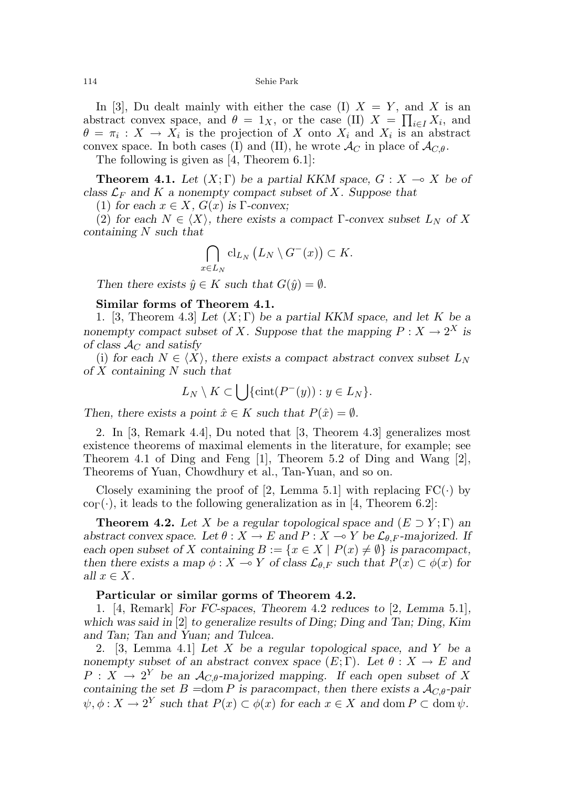114 Sehie Park

In [3], Du dealt mainly with either the case (I)  $X = Y$ , and X is an abstract convex space, and  $\theta = 1_X$ , or the case (II)  $X = \prod_{i \in I} X_i$ , and  $\theta = \pi_i : X \to X_i$  is the projection of X onto  $X_i$  and  $X_i$  is an abstract convex space. In both cases (I) and (II), he wrote  $\mathcal{A}_{C}$  in place of  $\mathcal{A}_{C,\theta}$ .

The following is given as [4, Theorem 6.1]:

**Theorem 4.1.** Let  $(X;\Gamma)$  be a partial KKM space,  $G: X \to X$  be of class  $\mathcal{L}_F$  and K a nonempty compact subset of X. Suppose that

(1) for each  $x \in X$ ,  $G(x)$  is  $\Gamma$ -convex;

(2) for each  $N \in \langle X \rangle$ , there exists a compact Γ-convex subset  $L_N$  of X containing N such that

$$
\bigcap_{x\in L_N} \mathrm{cl}_{L_N}\left(L_N\setminus G^-(x)\right)\subset K.
$$

Then there exists  $\hat{y} \in K$  such that  $G(\hat{y}) = \emptyset$ .

#### Similar forms of Theorem 4.1.

1. [3, Theorem 4.3] Let  $(X; \Gamma)$  be a partial KKM space, and let K be a nonempty compact subset of X. Suppose that the mapping  $P: X \to 2^X$  is of class  $\mathcal{A}_C$  and satisfy

(i) for each  $N \in \langle X \rangle$ , there exists a compact abstract convex subset  $L_N$ of  $X$  containing  $N$  such that

$$
L_N \setminus K \subset \bigcup \{\operatorname{cint}(P^-(y)) : y \in L_N\}.
$$

Then, there exists a point  $\hat{x} \in K$  such that  $P(\hat{x}) = \emptyset$ .

2. In [3, Remark 4.4], Du noted that [3, Theorem 4.3] generalizes most existence theorems of maximal elements in the literature, for example; see Theorem 4.1 of Ding and Feng [1], Theorem 5.2 of Ding and Wang [2], Theorems of Yuan, Chowdhury et al., Tan-Yuan, and so on.

Closely examining the proof of [2, Lemma 5.1] with replacing  $FC(\cdot)$  by  $\text{co}_{\Gamma}(\cdot)$ , it leads to the following generalization as in [4, Theorem 6.2]:

**Theorem 4.2.** Let X be a regular topological space and  $(E \supset Y; \Gamma)$  and abstract convex space. Let  $\theta : X \to E$  and  $P : X \to Y$  be  $\mathcal{L}_{\theta,F}$ -majorized. If each open subset of X containing  $B := \{x \in X \mid P(x) \neq \emptyset\}$  is paracompact, then there exists a map  $\phi: X \to Y$  of class  $\mathcal{L}_{\theta,F}$  such that  $P(x) \subset \phi(x)$  for all  $x \in X$ .

#### Particular or similar gorms of Theorem 4.2.

1. [4, Remark] For FC-spaces, Theorem 4.2 reduces to [2, Lemma 5.1], which was said in [2] to generalize results of Ding; Ding and Tan; Ding, Kim and Tan; Tan and Yuan; and Tulcea.

2. [3, Lemma 4.1] Let X be a regular topological space, and Y be a nonempty subset of an abstract convex space  $(E; \Gamma)$ . Let  $\theta : X \to E$  and  $P: X \to 2^Y$  be an  $\mathcal{A}_{C,\theta}$ -majorized mapping. If each open subset of X containing the set  $B =$ dom P is paracompact, then there exists a  $A_{C,\theta}$ -pair  $\psi, \phi: X \to 2^Y$  such that  $P(x) \subset \phi(x)$  for each  $x \in X$  and dom  $P \subset \text{dom }\psi$ .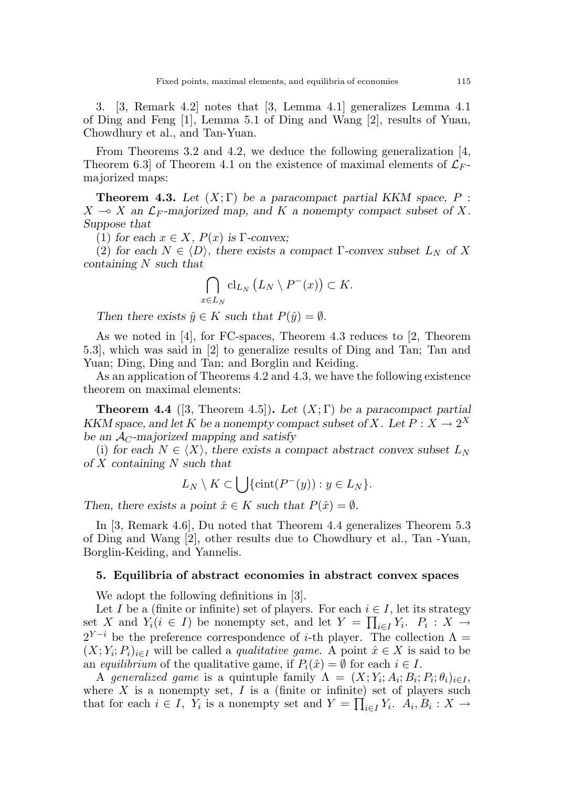3. [3, Remark 4.2] notes that [3, Lemma 4.1] generalizes Lemma 4.1 of Ding and Feng [1], Lemma 5.1 of Ding and Wang [2], results of Yuan, Chowdhury et al., and Tan-Yuan.

From Theorems 3.2 and 4.2, we deduce the following generalization [4, Theorem 6.3 of Theorem 4.1 on the existence of maximal elements of  $\mathcal{L}_F$ . majorized maps:

**Theorem 4.3.** Let  $(X;\Gamma)$  be a paracompact partial KKM space, P :  $X \multimap X$  an  $\mathcal{L}_F$ -majorized map, and K a nonempty compact subset of X. Suppose that

(1) for each  $x \in X$ ,  $P(x)$  is Γ-convex;

(2) for each  $N \in \langle D \rangle$ , there exists a compact Γ-convex subset  $L_N$  of X containing N such that

$$
\bigcap_{x\in L_N} \mathrm{cl}_{L_N}\left(L_N\setminus P^-(x)\right)\subset K.
$$

Then there exists  $\hat{y} \in K$  such that  $P(\hat{y}) = \emptyset$ .

As we noted in [4], for FC-spaces, Theorem 4.3 reduces to [2, Theorem 5.3], which was said in [2] to generalize results of Ding and Tan; Tan and Yuan; Ding, Ding and Tan; and Borglin and Keiding.

As an application of Theorems 4.2 and 4.3, we have the following existence theorem on maximal elements:

**Theorem 4.4** ([3, Theorem 4.5]). Let  $(X;\Gamma)$  be a paracompact partial KKM space, and let K be a nonempty compact subset of X. Let  $P: X \to 2^X$ be an  $\mathcal{A}_C$ -majorized mapping and satisfy

(i) for each  $N \in \langle X \rangle$ , there exists a compact abstract convex subset  $L_N$ of  $X$  containing  $N$  such that

$$
L_N \setminus K \subset \bigcup \{ \text{cint}(P^-(y)) : y \in L_N \}.
$$

Then, there exists a point  $\hat{x} \in K$  such that  $P(\hat{x}) = \emptyset$ .

In [3, Remark 4.6], Du noted that Theorem 4.4 generalizes Theorem 5.3 of Ding and Wang [2], other results due to Chowdhury et al., Tan -Yuan, Borglin-Keiding, and Yannelis.

#### 5. Equilibria of abstract economies in abstract convex spaces

We adopt the following definitions in [3].

Let I be a (finite or infinite) set of players. For each  $i \in I$ , let its strategy set X and  $Y_i (i \in I)$  be nonempty set, and let  $Y = \prod_{i \in I} Y_i$ .  $P_i : X \to Y$  $2^{Y-i}$  be the preference correspondence of *i*-th player. The collection  $\Lambda =$  $(X; Y_i; P_i)_{i \in I}$  will be called a *qualitative game*. A point  $\hat{x} \in X$  is said to be an equilibrium of the qualitative game, if  $P_i(\hat{x}) = \emptyset$  for each  $i \in I$ .

A generalized game is a quintuple family  $\Lambda = (X; Y_i; A_i; B_i; P_i; \theta_i)_{i \in I}$ , where  $X$  is a nonempty set,  $I$  is a (finite or infinite) set of players such that for each  $i \in I$ ,  $Y_i$  is a nonempty set and  $Y = \prod_{i \in I} Y_i$ .  $A_i, B_i : X \to Y$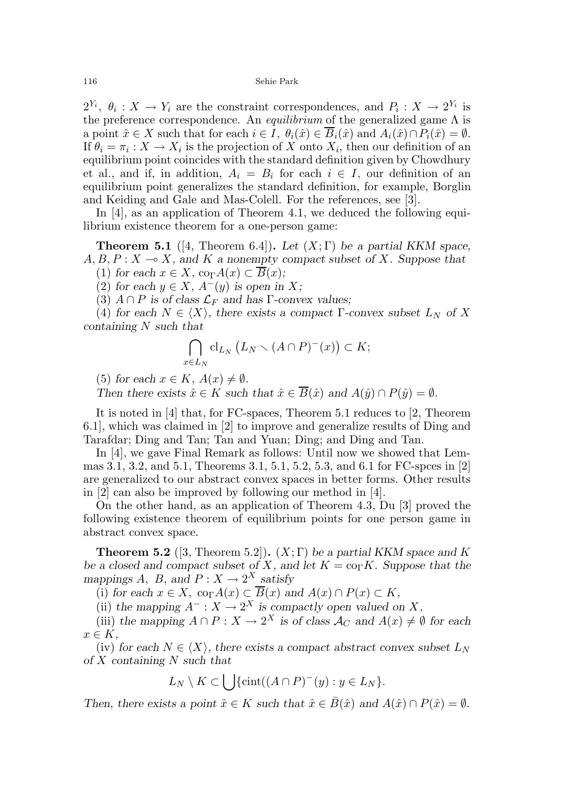$2^{Y_i}$ ,  $\theta_i: X \to Y_i$  are the constraint correspondences, and  $P_i: X \to 2^{Y_i}$  is the preference correspondence. An *equilibrium* of the generalized game  $\Lambda$  is a point  $\hat{x} \in X$  such that for each  $i \in I$ ,  $\theta_i(\hat{x}) \in \overline{B}_i(\hat{x})$  and  $A_i(\hat{x}) \cap P_i(\hat{x}) = \emptyset$ . If  $\theta_i = \pi_i : X \to X_i$  is the projection of X onto  $X_i$ , then our definition of an equilibrium point coincides with the standard definition given by Chowdhury et al., and if, in addition,  $A_i = B_i$  for each  $i \in I$ , our definition of an equilibrium point generalizes the standard definition, for example, Borglin and Keiding and Gale and Mas-Colell. For the references, see [3].

In [4], as an application of Theorem 4.1, we deduced the following equilibrium existence theorem for a one-person game:

**Theorem 5.1** ([4, Theorem 6.4]). Let  $(X;\Gamma)$  be a partial KKM space,  $A, B, P: X \longrightarrow X$ , and K a nonempty compact subset of X. Suppose that (1) for each  $x \in X$ , co<sub> $\Gamma$ </sub> $A(x) \subset \overline{B}(x)$ ;

(2) for each  $y \in X$ ,  $A^{-}(y)$  is open in X;

(3)  $A \cap P$  is of class  $\mathcal{L}_F$  and has Γ-convex values;

(4) for each  $N \in \langle X \rangle$ , there exists a compact Γ-convex subset  $L_N$  of X containing N such that

$$
\bigcap_{x\in L_N} \mathrm{cl}_{L_N}\left(L_N\setminus (A\cap P)^-(x)\right)\subset K;
$$

(5) for each  $x \in K$ ,  $A(x) \neq \emptyset$ .

Then there exists  $\hat{x} \in K$  such that  $\hat{x} \in \overline{B}(\hat{x})$  and  $A(\hat{y}) \cap P(\hat{y}) = \emptyset$ .

It is noted in [4] that, for FC-spaces, Theorem 5.1 reduces to [2, Theorem 6.1], which was claimed in [2] to improve and generalize results of Ding and Tarafdar; Ding and Tan; Tan and Yuan; Ding; and Ding and Tan.

In [4], we gave Final Remark as follows: Until now we showed that Lemmas 3.1, 3.2, and 5.1, Theorems 3.1, 5.1, 5.2, 5.3, and 6.1 for FC-spces in [2] are generalized to our abstract convex spaces in better forms. Other results in [2] can also be improved by following our method in [4].

On the other hand, as an application of Theorem 4.3, Du [3] proved the following existence theorem of equilibrium points for one person game in abstract convex space.

**Theorem 5.2** ([3, Theorem 5.2]).  $(X;\Gamma)$  be a partial KKM space and K be a closed and compact subset of X, and let  $K = \text{co}_{\Gamma} K$ . Suppose that the mappings A, B, and  $P: X \to 2^X$  satisfy

(i) for each  $x \in X$ ,  $\text{co}_{\Gamma}A(x) \subset \overline{B}(x)$  and  $A(x) \cap P(x) \subset K$ ,

(ii) the mapping  $A^- : X \to 2^X$  is compactly open valued on X,

(iii) the mapping  $A \cap P : X \to 2^X$  is of class  $\mathcal{A}_C$  and  $A(x) \neq \emptyset$  for each  $x \in K$ .

(iv) for each  $N \in \langle X \rangle$ , there exists a compact abstract convex subset  $L_N$ of X containing N such that

$$
L_N \setminus K \subset \bigcup \{ \operatorname{cint}((A \cap P)^-(y) : y \in L_N \}.
$$

Then, there exists a point  $\hat{x} \in K$  such that  $\hat{x} \in \overline{B}(\hat{x})$  and  $A(\hat{x}) \cap P(\hat{x}) = \emptyset$ .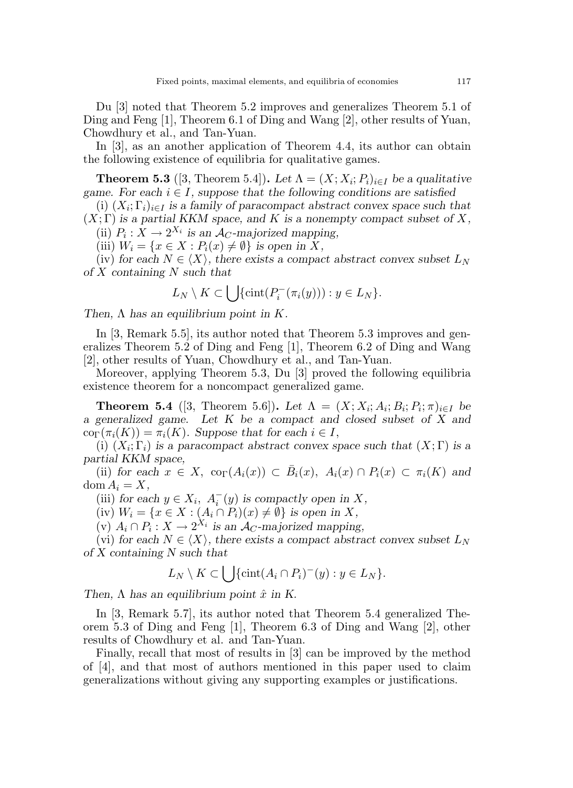Du [3] noted that Theorem 5.2 improves and generalizes Theorem 5.1 of Ding and Feng [1], Theorem 6.1 of Ding and Wang [2], other results of Yuan, Chowdhury et al., and Tan-Yuan.

In [3], as an another application of Theorem 4.4, its author can obtain the following existence of equilibria for qualitative games.

**Theorem 5.3** ([3, Theorem 5.4]). Let  $\Lambda = (X; X_i; P_i)_{i \in I}$  be a qualitative game. For each  $i \in I$ , suppose that the following conditions are satisfied

(i)  $(X_i; \Gamma_i)_{i \in I}$  is a family of paracompact abstract convex space such that  $(X; \Gamma)$  is a partial KKM space, and K is a nonempty compact subset of X,

(ii)  $P_i: X \to 2^{X_i}$  is an  $\mathcal{A}_C$ -majorized mapping,

(iii)  $W_i = \{x \in X : P_i(x) \neq \emptyset\}$  is open in X,

(iv) for each  $N \in \langle X \rangle$ , there exists a compact abstract convex subset  $L_N$ of  $X$  containing  $N$  such that

$$
L_N \setminus K \subset \bigcup \{ \text{cint}(P_i^-(\pi_i(y))) : y \in L_N \}.
$$

Then,  $\Lambda$  has an equilibrium point in K.

In [3, Remark 5.5], its author noted that Theorem 5.3 improves and generalizes Theorem 5.2 of Ding and Feng [1], Theorem 6.2 of Ding and Wang [2], other results of Yuan, Chowdhury et al., and Tan-Yuan.

Moreover, applying Theorem 5.3, Du [3] proved the following equilibria existence theorem for a noncompact generalized game.

**Theorem 5.4** ([3, Theorem 5.6]). Let  $\Lambda = (X; X_i; A_i; B_i; P_i; \pi)_{i \in I}$  be a generalized game. Let K be a compact and closed subset of X and  $\text{co}_{\Gamma}(\pi_i(K)) = \pi_i(K)$ . Suppose that for each  $i \in I$ ,

(i)  $(X_i; \Gamma_i)$  is a paracompact abstract convex space such that  $(X; \Gamma)$  is a partial KKM space,

(ii) for each  $x \in X$ ,  $\text{co}_{\Gamma}(A_i(x)) \subset \overline{B}_i(x)$ ,  $A_i(x) \cap P_i(x) \subset \pi_i(K)$  and  $\text{dom } A_i = X,$ 

(iii) for each  $y \in X_i$ ,  $A_i^-(y)$  is compactly open in X,

(iv)  $W_i = \{x \in X : (A_i \cap P_i)(x) \neq \emptyset\}$  is open in X,

(v)  $A_i \cap P_i : X \to 2^{X_i}$  is an  $A_C$ -majorized mapping,

(vi) for each  $N \in \langle X \rangle$ , there exists a compact abstract convex subset  $L_N$ of X containing N such that

$$
L_N \setminus K \subset \bigcup \{ \operatorname{cint}(A_i \cap P_i)^-(y) : y \in L_N \}.
$$

Then,  $\Lambda$  has an equilibrium point  $\hat{x}$  in K.

In [3, Remark 5.7], its author noted that Theorem 5.4 generalized Theorem 5.3 of Ding and Feng [1], Theorem 6.3 of Ding and Wang [2], other results of Chowdhury et al. and Tan-Yuan.

Finally, recall that most of results in [3] can be improved by the method of [4], and that most of authors mentioned in this paper used to claim generalizations without giving any supporting examples or justifications.